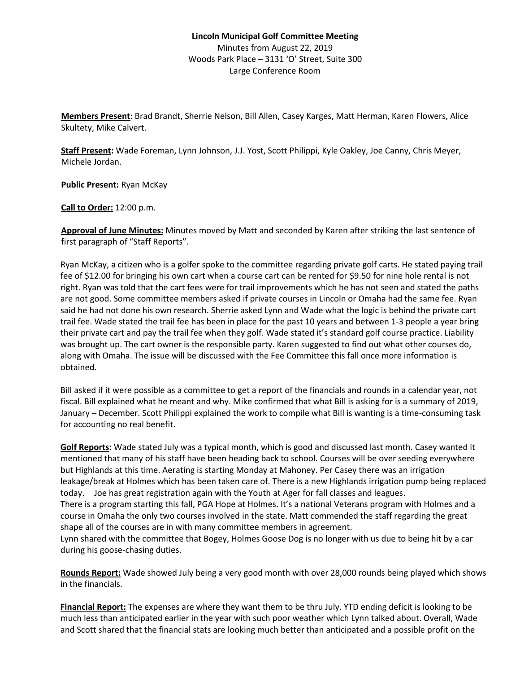## **Lincoln Municipal Golf Committee Meeting** Minutes from August 22, 2019 Woods Park Place – 3131 'O' Street, Suite 300 Large Conference Room

**Members Present**: Brad Brandt, Sherrie Nelson, Bill Allen, Casey Karges, Matt Herman, Karen Flowers, Alice Skultety, Mike Calvert.

**Staff Present:** Wade Foreman, Lynn Johnson, J.J. Yost, Scott Philippi, Kyle Oakley, Joe Canny, Chris Meyer, Michele Jordan.

**Public Present:** Ryan McKay

**Call to Order:** 12:00 p.m.

**Approval of June Minutes:** Minutes moved by Matt and seconded by Karen after striking the last sentence of first paragraph of "Staff Reports".

Ryan McKay, a citizen who is a golfer spoke to the committee regarding private golf carts. He stated paying trail fee of \$12.00 for bringing his own cart when a course cart can be rented for \$9.50 for nine hole rental is not right. Ryan was told that the cart fees were for trail improvements which he has not seen and stated the paths are not good. Some committee members asked if private courses in Lincoln or Omaha had the same fee. Ryan said he had not done his own research. Sherrie asked Lynn and Wade what the logic is behind the private cart trail fee. Wade stated the trail fee has been in place for the past 10 years and between 1-3 people a year bring their private cart and pay the trail fee when they golf. Wade stated it's standard golf course practice. Liability was brought up. The cart owner is the responsible party. Karen suggested to find out what other courses do, along with Omaha. The issue will be discussed with the Fee Committee this fall once more information is obtained.

Bill asked if it were possible as a committee to get a report of the financials and rounds in a calendar year, not fiscal. Bill explained what he meant and why. Mike confirmed that what Bill is asking for is a summary of 2019, January – December. Scott Philippi explained the work to compile what Bill is wanting is a time-consuming task for accounting no real benefit.

**Golf Reports:** Wade stated July was a typical month, which is good and discussed last month. Casey wanted it mentioned that many of his staff have been heading back to school. Courses will be over seeding everywhere but Highlands at this time. Aerating is starting Monday at Mahoney. Per Casey there was an irrigation leakage/break at Holmes which has been taken care of. There is a new Highlands irrigation pump being replaced today. Joe has great registration again with the Youth at Ager for fall classes and leagues. There is a program starting this fall, PGA Hope at Holmes. It's a national Veterans program with Holmes and a course in Omaha the only two courses involved in the state. Matt commended the staff regarding the great shape all of the courses are in with many committee members in agreement.

Lynn shared with the committee that Bogey, Holmes Goose Dog is no longer with us due to being hit by a car during his goose-chasing duties.

**Rounds Report:** Wade showed July being a very good month with over 28,000 rounds being played which shows in the financials.

**Financial Report:** The expenses are where they want them to be thru July. YTD ending deficit is looking to be much less than anticipated earlier in the year with such poor weather which Lynn talked about. Overall, Wade and Scott shared that the financial stats are looking much better than anticipated and a possible profit on the